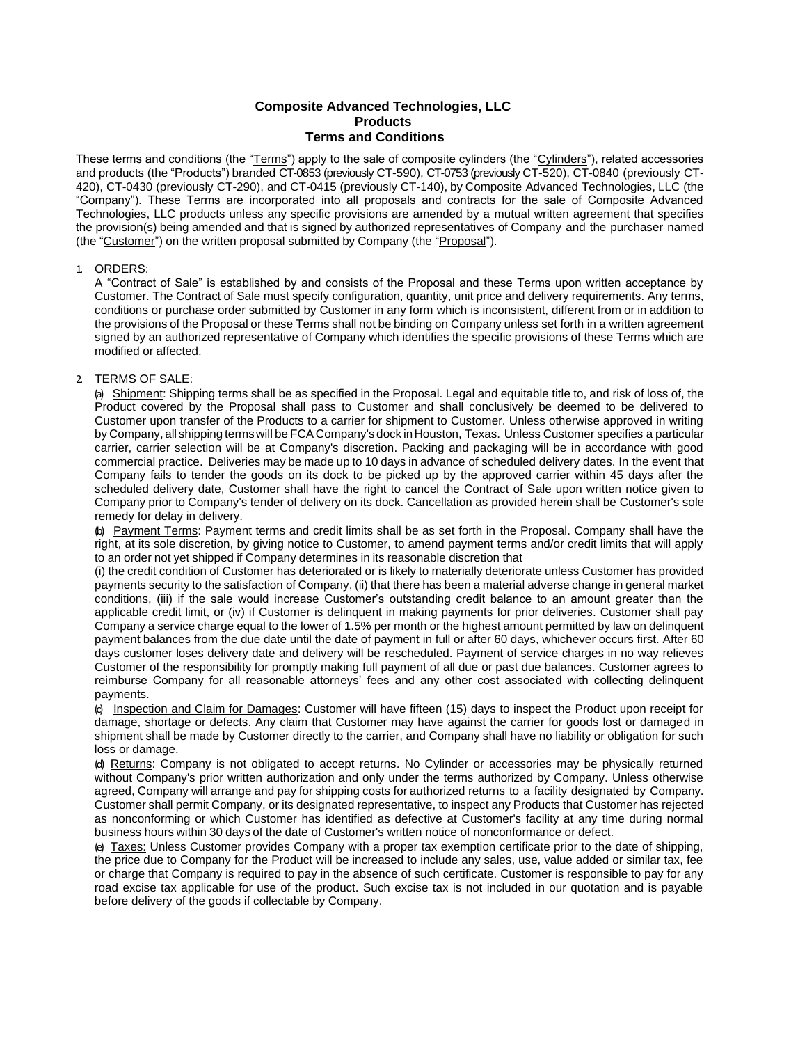# **Composite Advanced Technologies, LLC Products Terms and Conditions**

These terms and conditions (the "Terms") apply to the sale of composite cylinders (the "Cylinders"), related accessories and products (the "Products") branded CT-0853 (previously CT-590), CT-0753 (previously CT-520), CT-0840 (previously CT-420), CT-0430 (previously CT-290), and CT-0415 (previously CT-140), by Composite Advanced Technologies, LLC (the "Company"). These Terms are incorporated into all proposals and contracts for the sale of Composite Advanced Technologies, LLC products unless any specific provisions are amended by a mutual written agreement that specifies the provision(s) being amended and that is signed by authorized representatives of Company and the purchaser named (the "Customer") on the written proposal submitted by Company (the "Proposal").

### 1. ORDERS:

A "Contract of Sale" is established by and consists of the Proposal and these Terms upon written acceptance by Customer. The Contract of Sale must specify configuration, quantity, unit price and delivery requirements. Any terms, conditions or purchase order submitted by Customer in any form which is inconsistent, different from or in addition to the provisions of the Proposal or these Terms shall not be binding on Company unless set forth in a written agreement signed by an authorized representative of Company which identifies the specific provisions of these Terms which are modified or affected.

#### 2. TERMS OF SALE:

(a) Shipment: Shipping terms shall be as specified in the Proposal. Legal and equitable title to, and risk of loss of, the Product covered by the Proposal shall pass to Customer and shall conclusively be deemed to be delivered to Customer upon transfer of the Products to a carrier for shipment to Customer. Unless otherwise approved in writing by Company, all shipping termswill be FCA Company's dock inHouston, Texas. Unless Customer specifies a particular carrier, carrier selection will be at Company's discretion. Packing and packaging will be in accordance with good commercial practice. Deliveries may be made up to 10 days in advance of scheduled delivery dates. In the event that Company fails to tender the goods on its dock to be picked up by the approved carrier within 45 days after the scheduled delivery date, Customer shall have the right to cancel the Contract of Sale upon written notice given to Company prior to Company's tender of delivery on its dock. Cancellation as provided herein shall be Customer's sole remedy for delay in delivery.

(b) Payment Terms: Payment terms and credit limits shall be as set forth in the Proposal. Company shall have the right, at its sole discretion, by giving notice to Customer, to amend payment terms and/or credit limits that will apply to an order not yet shipped if Company determines in its reasonable discretion that

(i) the credit condition of Customer has deteriorated or is likely to materially deteriorate unless Customer has provided payments security to the satisfaction of Company, (ii) that there has been a material adverse change in general market conditions, (iii) if the sale would increase Customer's outstanding credit balance to an amount greater than the applicable credit limit, or (iv) if Customer is delinquent in making payments for prior deliveries. Customer shall pay Company a service charge equal to the lower of 1.5% per month or the highest amount permitted by law on delinquent payment balances from the due date until the date of payment in full or after 60 days, whichever occurs first. After 60 days customer loses delivery date and delivery will be rescheduled. Payment of service charges in no way relieves Customer of the responsibility for promptly making full payment of all due or past due balances. Customer agrees to reimburse Company for all reasonable attorneys' fees and any other cost associated with collecting delinquent payments.

(c) Inspection and Claim for Damages: Customer will have fifteen (15) days to inspect the Product upon receipt for damage, shortage or defects. Any claim that Customer may have against the carrier for goods lost or damaged in shipment shall be made by Customer directly to the carrier, and Company shall have no liability or obligation for such loss or damage.

(d) Returns: Company is not obligated to accept returns. No Cylinder or accessories may be physically returned without Company's prior written authorization and only under the terms authorized by Company. Unless otherwise agreed, Company will arrange and pay for shipping costs for authorized returns to a facility designated by Company. Customer shall permit Company, or its designated representative, to inspect any Products that Customer has rejected as nonconforming or which Customer has identified as defective at Customer's facility at any time during normal business hours within 30 days of the date of Customer's written notice of nonconformance or defect.

(e) Taxes: Unless Customer provides Company with a proper tax exemption certificate prior to the date of shipping, the price due to Company for the Product will be increased to include any sales, use, value added or similar tax, fee or charge that Company is required to pay in the absence of such certificate. Customer is responsible to pay for any road excise tax applicable for use of the product. Such excise tax is not included in our quotation and is payable before delivery of the goods if collectable by Company.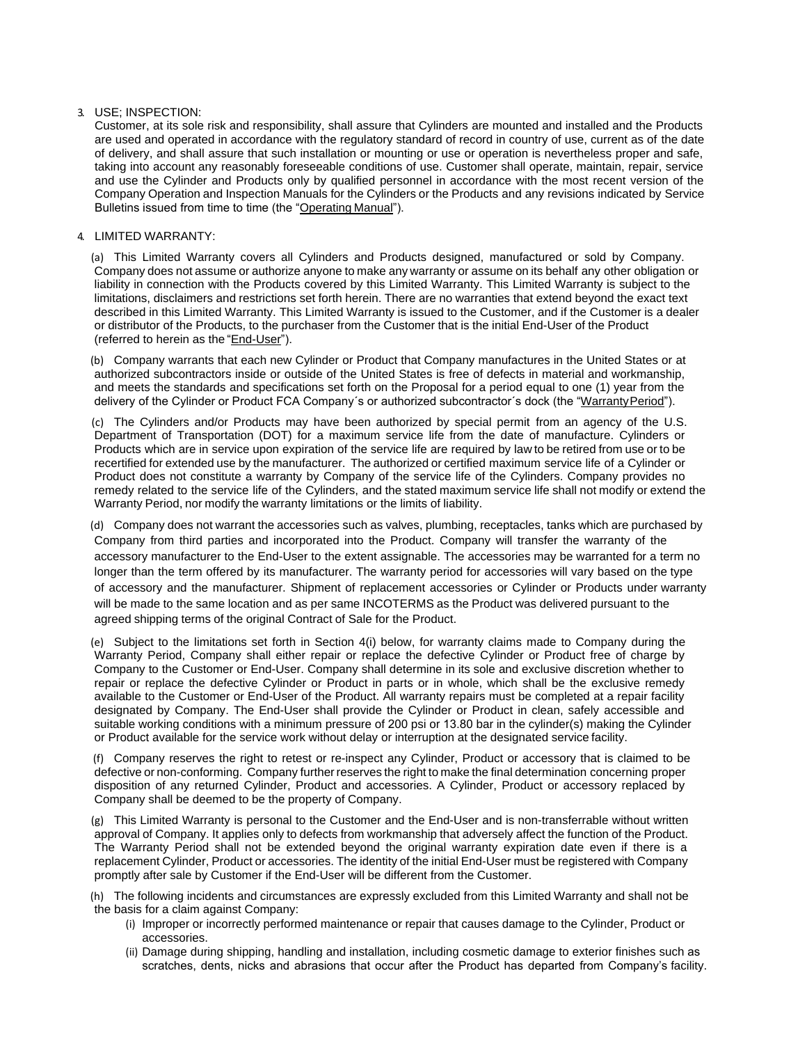## 3. USE; INSPECTION:

Customer, at its sole risk and responsibility, shall assure that Cylinders are mounted and installed and the Products are used and operated in accordance with the regulatory standard of record in country of use, current as of the date of delivery, and shall assure that such installation or mounting or use or operation is nevertheless proper and safe, taking into account any reasonably foreseeable conditions of use. Customer shall operate, maintain, repair, service and use the Cylinder and Products only by qualified personnel in accordance with the most recent version of the Company Operation and Inspection Manuals for the Cylinders or the Products and any revisions indicated by Service Bulletins issued from time to time (the "Operating Manual").

# 4. LIMITED WARRANTY:

(a) This Limited Warranty covers all Cylinders and Products designed, manufactured or sold by Company. Company does not assume or authorize anyone to make any warranty or assume on its behalf any other obligation or liability in connection with the Products covered by this Limited Warranty. This Limited Warranty is subject to the limitations, disclaimers and restrictions set forth herein. There are no warranties that extend beyond the exact text described in this Limited Warranty. This Limited Warranty is issued to the Customer, and if the Customer is a dealer or distributor of the Products, to the purchaser from the Customer that is the initial End-User of the Product (referred to herein as the "End-User").

(b) Company warrants that each new Cylinder or Product that Company manufactures in the United States or at authorized subcontractors inside or outside of the United States is free of defects in material and workmanship, and meets the standards and specifications set forth on the Proposal for a period equal to one (1) year from the delivery of the Cylinder or Product FCA Company´s or authorized subcontractor´s dock (the "Warranty Period").

(c) The Cylinders and/or Products may have been authorized by special permit from an agency of the U.S. Department of Transportation (DOT) for a maximum service life from the date of manufacture. Cylinders or Products which are in service upon expiration of the service life are required by law to be retired from use or to be recertified for extended use by the manufacturer. The authorized or certified maximum service life of a Cylinder or Product does not constitute a warranty by Company of the service life of the Cylinders. Company provides no remedy related to the service life of the Cylinders, and the stated maximum service life shall not modify or extend the Warranty Period, nor modify the warranty limitations or the limits of liability.

(d) Company does not warrant the accessories such as valves, plumbing, receptacles, tanks which are purchased by Company from third parties and incorporated into the Product. Company will transfer the warranty of the accessory manufacturer to the End-User to the extent assignable. The accessories may be warranted for a term no longer than the term offered by its manufacturer. The warranty period for accessories will vary based on the type of accessory and the manufacturer. Shipment of replacement accessories or Cylinder or Products under warranty will be made to the same location and as per same INCOTERMS as the Product was delivered pursuant to the agreed shipping terms of the original Contract of Sale for the Product.

(e) Subject to the limitations set forth in Section 4(i) below, for warranty claims made to Company during the Warranty Period, Company shall either repair or replace the defective Cylinder or Product free of charge by Company to the Customer or End-User. Company shall determine in its sole and exclusive discretion whether to repair or replace the defective Cylinder or Product in parts or in whole, which shall be the exclusive remedy available to the Customer or End-User of the Product. All warranty repairs must be completed at a repair facility designated by Company. The End-User shall provide the Cylinder or Product in clean, safely accessible and suitable working conditions with a minimum pressure of 200 psi or 13.80 bar in the cylinder(s) making the Cylinder or Product available for the service work without delay or interruption at the designated service facility.

(f) Company reserves the right to retest or re-inspect any Cylinder, Product or accessory that is claimed to be defective or non-conforming. Company further reserves the right to make the final determination concerning proper disposition of any returned Cylinder, Product and accessories. A Cylinder, Product or accessory replaced by Company shall be deemed to be the property of Company.

(g) This Limited Warranty is personal to the Customer and the End-User and is non-transferrable without written approval of Company. It applies only to defects from workmanship that adversely affect the function of the Product. The Warranty Period shall not be extended beyond the original warranty expiration date even if there is a replacement Cylinder, Product or accessories. The identity of the initial End-User must be registered with Company promptly after sale by Customer if the End-User will be different from the Customer.

(h) The following incidents and circumstances are expressly excluded from this Limited Warranty and shall not be the basis for a claim against Company:

- (i) Improper or incorrectly performed maintenance or repair that causes damage to the Cylinder, Product or accessories.
- (ii) Damage during shipping, handling and installation, including cosmetic damage to exterior finishes such as scratches, dents, nicks and abrasions that occur after the Product has departed from Company's facility.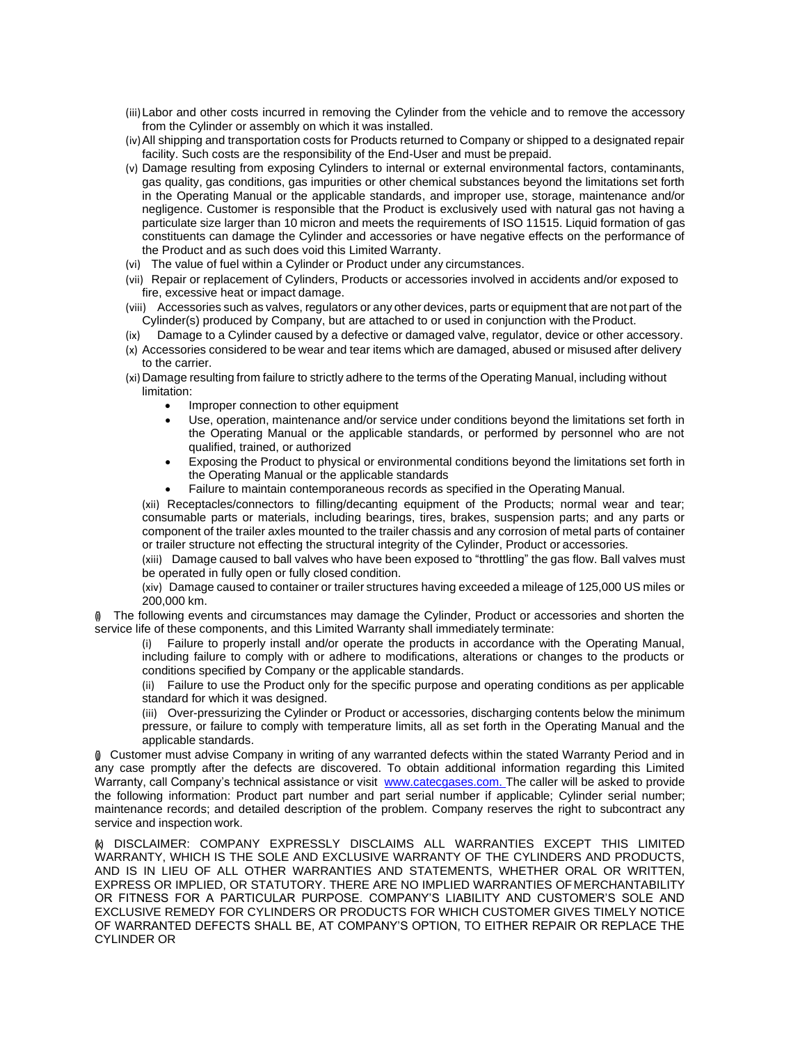- (iii)Labor and other costs incurred in removing the Cylinder from the vehicle and to remove the accessory from the Cylinder or assembly on which it was installed.
- (iv)All shipping and transportation costs for Products returned to Company or shipped to a designated repair facility. Such costs are the responsibility of the End-User and must be prepaid.
- (v) Damage resulting from exposing Cylinders to internal or external environmental factors, contaminants, gas quality, gas conditions, gas impurities or other chemical substances beyond the limitations set forth in the Operating Manual or the applicable standards, and improper use, storage, maintenance and/or negligence. Customer is responsible that the Product is exclusively used with natural gas not having a particulate size larger than 10 micron and meets the requirements of ISO 11515. Liquid formation of gas constituents can damage the Cylinder and accessories or have negative effects on the performance of the Product and as such does void this Limited Warranty.
- (vi) The value of fuel within a Cylinder or Product under any circumstances.
- (vii) Repair or replacement of Cylinders, Products or accessories involved in accidents and/or exposed to fire, excessive heat or impact damage.
- (viii) Accessories such as valves, regulators or any other devices, parts or equipment that are not part of the Cylinder(s) produced by Company, but are attached to or used in conjunction with the Product.
- (ix) Damage to a Cylinder caused by a defective or damaged valve, regulator, device or other accessory.
- (x) Accessories considered to be wear and tear items which are damaged, abused or misused after delivery to the carrier.
- (xi) Damage resulting from failure to strictly adhere to the terms of the Operating Manual, including without limitation:
	- Improper connection to other equipment
	- Use, operation, maintenance and/or service under conditions beyond the limitations set forth in the Operating Manual or the applicable standards, or performed by personnel who are not qualified, trained, or authorized
	- Exposing the Product to physical or environmental conditions beyond the limitations set forth in the Operating Manual or the applicable standards
	- Failure to maintain contemporaneous records as specified in the Operating Manual.

(xii) Receptacles/connectors to filling/decanting equipment of the Products; normal wear and tear; consumable parts or materials, including bearings, tires, brakes, suspension parts; and any parts or component of the trailer axles mounted to the trailer chassis and any corrosion of metal parts of container or trailer structure not effecting the structural integrity of the Cylinder, Product or accessories.

(xiii) Damage caused to ball valves who have been exposed to "throttling" the gas flow. Ball valves must be operated in fully open or fully closed condition.

(xiv) Damage caused to container or trailer structures having exceeded a mileage of 125,000 US miles or 200,000 km.

(i) The following events and circumstances may damage the Cylinder, Product or accessories and shorten the service life of these components, and this Limited Warranty shall immediately terminate:

(i) Failure to properly install and/or operate the products in accordance with the Operating Manual, including failure to comply with or adhere to modifications, alterations or changes to the products or conditions specified by Company or the applicable standards.

(ii) Failure to use the Product only for the specific purpose and operating conditions as per applicable standard for which it was designed.

(iii) Over-pressurizing the Cylinder or Product or accessories, discharging contents below the minimum pressure, or failure to comply with temperature limits, all as set forth in the Operating Manual and the applicable standards.

(j) Customer must advise Company in writing of any warranted defects within the stated Warranty Period and in any case promptly after the defects are discovered. To obtain additional information regarding this Limited Warranty, call Company's technical assistance or visit www.catecgases.com. The caller will be asked to provide the following information: Product part number and part serial number if applicable; Cylinder serial number; maintenance records; and detailed description of the problem. Company reserves the right to subcontract any service and inspection work.

(k) DISCLAIMER: COMPANY EXPRESSLY DISCLAIMS ALL WARRANTIES EXCEPT THIS LIMITED WARRANTY, WHICH IS THE SOLE AND EXCLUSIVE WARRANTY OF THE CYLINDERS AND PRODUCTS, AND IS IN LIEU OF ALL OTHER WARRANTIES AND STATEMENTS, WHETHER ORAL OR WRITTEN, EXPRESS OR IMPLIED, OR STATUTORY. THERE ARE NO IMPLIED WARRANTIES OFMERCHANTABILITY OR FITNESS FOR A PARTICULAR PURPOSE. COMPANY'S LIABILITY AND CUSTOMER'S SOLE AND EXCLUSIVE REMEDY FOR CYLINDERS OR PRODUCTS FOR WHICH CUSTOMER GIVES TIMELY NOTICE OF WARRANTED DEFECTS SHALL BE, AT COMPANY'S OPTION, TO EITHER REPAIR OR REPLACE THE CYLINDER OR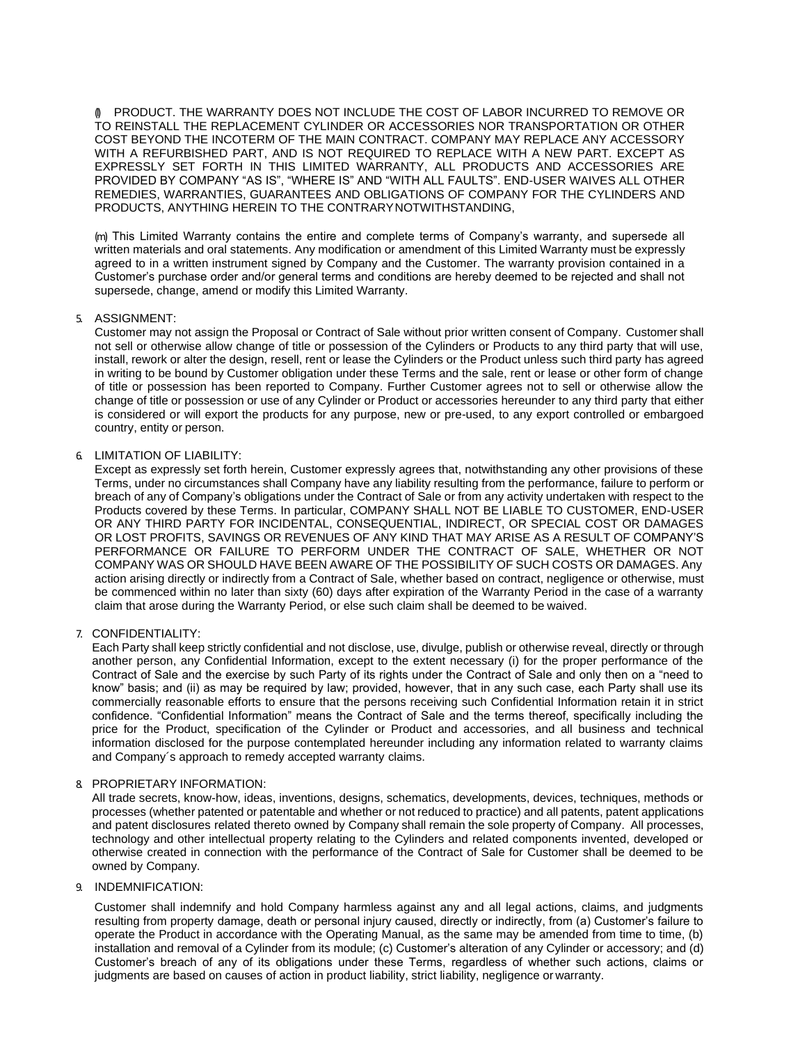(l) PRODUCT. THE WARRANTY DOES NOT INCLUDE THE COST OF LABOR INCURRED TO REMOVE OR TO REINSTALL THE REPLACEMENT CYLINDER OR ACCESSORIES NOR TRANSPORTATION OR OTHER COST BEYOND THE INCOTERM OF THE MAIN CONTRACT. COMPANY MAY REPLACE ANY ACCESSORY WITH A REFURBISHED PART, AND IS NOT REQUIRED TO REPLACE WITH A NEW PART. EXCEPT AS EXPRESSLY SET FORTH IN THIS LIMITED WARRANTY, ALL PRODUCTS AND ACCESSORIES ARE PROVIDED BY COMPANY "AS IS", "WHERE IS" AND "WITH ALL FAULTS". END-USER WAIVES ALL OTHER REMEDIES, WARRANTIES, GUARANTEES AND OBLIGATIONS OF COMPANY FOR THE CYLINDERS AND PRODUCTS, ANYTHING HEREIN TO THE CONTRARYNOTWITHSTANDING,

(m) This Limited Warranty contains the entire and complete terms of Company's warranty, and supersede all written materials and oral statements. Any modification or amendment of this Limited Warranty must be expressly agreed to in a written instrument signed by Company and the Customer. The warranty provision contained in a Customer's purchase order and/or general terms and conditions are hereby deemed to be rejected and shall not supersede, change, amend or modify this Limited Warranty.

### 5. ASSIGNMENT:

Customer may not assign the Proposal or Contract of Sale without prior written consent of Company. Customer shall not sell or otherwise allow change of title or possession of the Cylinders or Products to any third party that will use, install, rework or alter the design, resell, rent or lease the Cylinders or the Product unless such third party has agreed in writing to be bound by Customer obligation under these Terms and the sale, rent or lease or other form of change of title or possession has been reported to Company. Further Customer agrees not to sell or otherwise allow the change of title or possession or use of any Cylinder or Product or accessories hereunder to any third party that either is considered or will export the products for any purpose, new or pre-used, to any export controlled or embargoed country, entity or person.

### 6. LIMITATION OF LIABILITY:

Except as expressly set forth herein, Customer expressly agrees that, notwithstanding any other provisions of these Terms, under no circumstances shall Company have any liability resulting from the performance, failure to perform or breach of any of Company's obligations under the Contract of Sale or from any activity undertaken with respect to the Products covered by these Terms. In particular, COMPANY SHALL NOT BE LIABLE TO CUSTOMER, END-USER OR ANY THIRD PARTY FOR INCIDENTAL, CONSEQUENTIAL, INDIRECT, OR SPECIAL COST OR DAMAGES OR LOST PROFITS, SAVINGS OR REVENUES OF ANY KIND THAT MAY ARISE AS A RESULT OF COMPANY'S PERFORMANCE OR FAILURE TO PERFORM UNDER THE CONTRACT OF SALE, WHETHER OR NOT COMPANY WAS OR SHOULD HAVE BEEN AWARE OF THE POSSIBILITY OF SUCH COSTS OR DAMAGES. Any action arising directly or indirectly from a Contract of Sale, whether based on contract, negligence or otherwise, must be commenced within no later than sixty (60) days after expiration of the Warranty Period in the case of a warranty claim that arose during the Warranty Period, or else such claim shall be deemed to be waived.

## 7. CONFIDENTIALITY:

Each Party shall keep strictly confidential and not disclose, use, divulge, publish or otherwise reveal, directly or through another person, any Confidential Information, except to the extent necessary (i) for the proper performance of the Contract of Sale and the exercise by such Party of its rights under the Contract of Sale and only then on a "need to know" basis; and (ii) as may be required by law; provided, however, that in any such case, each Party shall use its commercially reasonable efforts to ensure that the persons receiving such Confidential Information retain it in strict confidence. "Confidential Information" means the Contract of Sale and the terms thereof, specifically including the price for the Product, specification of the Cylinder or Product and accessories, and all business and technical information disclosed for the purpose contemplated hereunder including any information related to warranty claims and Company´s approach to remedy accepted warranty claims.

## 8. PROPRIETARY INFORMATION:

All trade secrets, know-how, ideas, inventions, designs, schematics, developments, devices, techniques, methods or processes (whether patented or patentable and whether or not reduced to practice) and all patents, patent applications and patent disclosures related thereto owned by Company shall remain the sole property of Company. All processes, technology and other intellectual property relating to the Cylinders and related components invented, developed or otherwise created in connection with the performance of the Contract of Sale for Customer shall be deemed to be owned by Company.

#### 9. INDEMNIFICATION:

Customer shall indemnify and hold Company harmless against any and all legal actions, claims, and judgments resulting from property damage, death or personal injury caused, directly or indirectly, from (a) Customer's failure to operate the Product in accordance with the Operating Manual, as the same may be amended from time to time, (b) installation and removal of a Cylinder from its module; (c) Customer's alteration of any Cylinder or accessory; and (d) Customer's breach of any of its obligations under these Terms, regardless of whether such actions, claims or judgments are based on causes of action in product liability, strict liability, negligence or warranty.